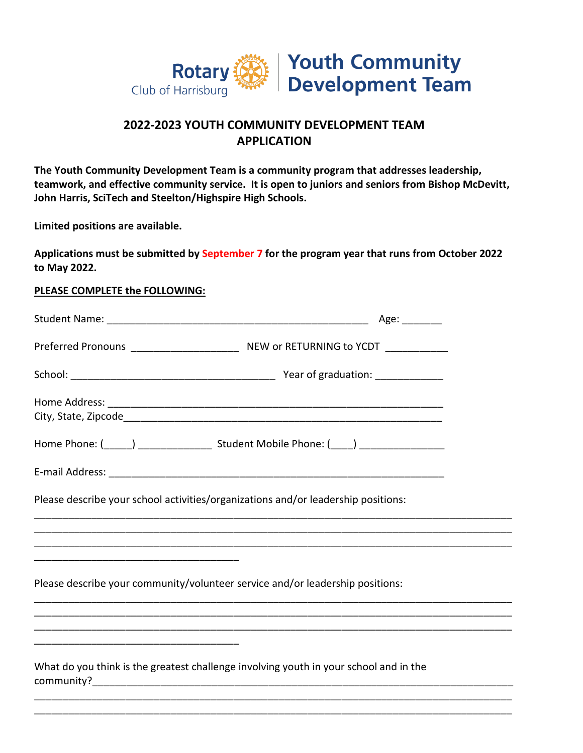

# **2022-2023 YOUTH COMMUNITY DEVELOPMENT TEAM APPLICATION**

**The Youth Community Development Team is a community program that addresses leadership, teamwork, and effective community service. It is open to juniors and seniors from Bishop McDevitt, John Harris, SciTech and Steelton/Highspire High Schools.** 

**Limited positions are available.**

**Applications must be submitted by September 7 for the program year that runs from October 2022 to May 2022.** 

#### **PLEASE COMPLETE the FOLLOWING:**

| Please describe your school activities/organizations and/or leadership positions:     |  |
|---------------------------------------------------------------------------------------|--|
|                                                                                       |  |
|                                                                                       |  |
| Please describe your community/volunteer service and/or leadership positions:         |  |
|                                                                                       |  |
|                                                                                       |  |
| What do you think is the greatest challenge involving youth in your school and in the |  |
|                                                                                       |  |

\_\_\_\_\_\_\_\_\_\_\_\_\_\_\_\_\_\_\_\_\_\_\_\_\_\_\_\_\_\_\_\_\_\_\_\_\_\_\_\_\_\_\_\_\_\_\_\_\_\_\_\_\_\_\_\_\_\_\_\_\_\_\_\_\_\_\_\_\_\_\_\_\_\_\_\_\_\_\_\_\_\_\_\_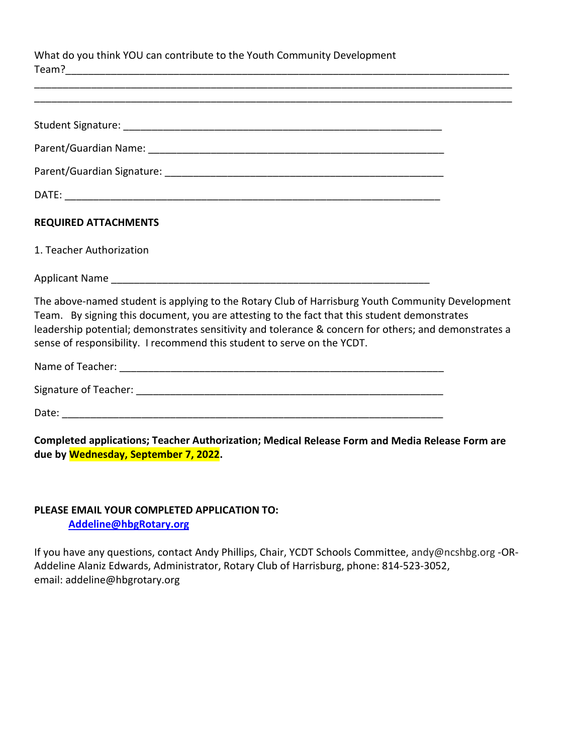What do you think YOU can contribute to the Youth Community Development Team?

| <b>REQUIRED ATTACHMENTS</b>                                                                                                                                                                                                                                                                                                                                                          |  |
|--------------------------------------------------------------------------------------------------------------------------------------------------------------------------------------------------------------------------------------------------------------------------------------------------------------------------------------------------------------------------------------|--|
| 1. Teacher Authorization                                                                                                                                                                                                                                                                                                                                                             |  |
|                                                                                                                                                                                                                                                                                                                                                                                      |  |
| The above-named student is applying to the Rotary Club of Harrisburg Youth Community Development<br>Team. By signing this document, you are attesting to the fact that this student demonstrates<br>leadership potential; demonstrates sensitivity and tolerance & concern for others; and demonstrates a<br>sense of responsibility. I recommend this student to serve on the YCDT. |  |
|                                                                                                                                                                                                                                                                                                                                                                                      |  |
|                                                                                                                                                                                                                                                                                                                                                                                      |  |
|                                                                                                                                                                                                                                                                                                                                                                                      |  |
| Completed applications; Teacher Authorization; Medical Release Form and Media Release Form are                                                                                                                                                                                                                                                                                       |  |

\_\_\_\_\_\_\_\_\_\_\_\_\_\_\_\_\_\_\_\_\_\_\_\_\_\_\_\_\_\_\_\_\_\_\_\_\_\_\_\_\_\_\_\_\_\_\_\_\_\_\_\_\_\_\_\_\_\_\_\_\_\_\_\_\_\_\_\_\_\_\_\_\_\_\_\_\_\_\_\_\_\_\_\_

## **PLEASE EMAIL YOUR COMPLETED APPLICATION TO: [Addeline@hbgRotary.org](mailto:Addeline@hbgRotary.org)**

**due by Wednesday, September 7, 2022.** 

If you have any questions, contact Andy Phillips, Chair, YCDT Schools Committee, andy@ncshbg.org -OR-Addeline Alaniz Edwards, Administrator, Rotary Club of Harrisburg, phone: 814-523-3052, email: addeline@hbgrotary.org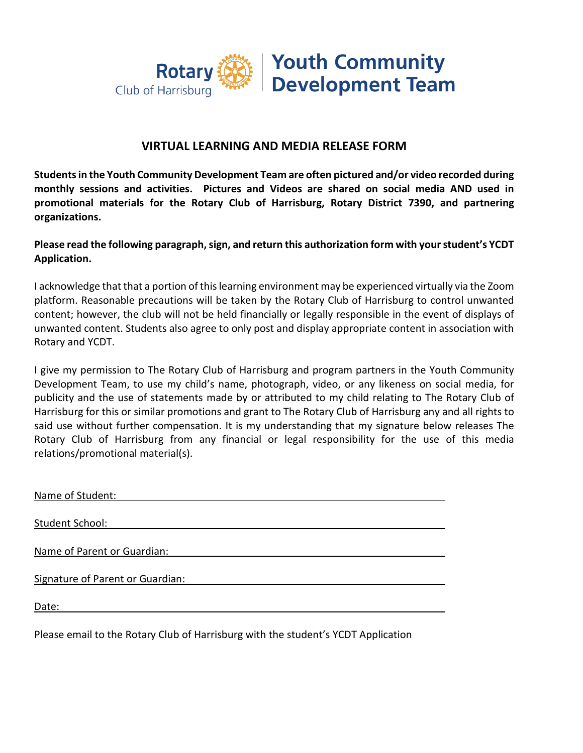

## **VIRTUAL LEARNING AND MEDIA RELEASE FORM**

**Students in the Youth Community Development Team are often pictured and/or video recorded during monthly sessions and activities. Pictures and Videos are shared on social media AND used in promotional materials for the Rotary Club of Harrisburg, Rotary District 7390, and partnering organizations.**

**Please read the following paragraph, sign, and return this authorization form with your student's YCDT Application.**

I acknowledge that that a portion of this learning environment may be experienced virtually via the Zoom platform. Reasonable precautions will be taken by the Rotary Club of Harrisburg to control unwanted content; however, the club will not be held financially or legally responsible in the event of displays of unwanted content. Students also agree to only post and display appropriate content in association with Rotary and YCDT.

I give my permission to The Rotary Club of Harrisburg and program partners in the Youth Community Development Team, to use my child's name, photograph, video, or any likeness on social media, for publicity and the use of statements made by or attributed to my child relating to The Rotary Club of Harrisburg for this or similar promotions and grant to The Rotary Club of Harrisburg any and all rights to said use without further compensation. It is my understanding that my signature below releases The Rotary Club of Harrisburg from any financial or legal responsibility for the use of this media relations/promotional material(s).

| Name of Student:                 |
|----------------------------------|
|                                  |
| Student School:                  |
|                                  |
| Name of Parent or Guardian:      |
|                                  |
| Signature of Parent or Guardian: |
|                                  |
| Date:                            |
|                                  |
|                                  |

Please email to the Rotary Club of Harrisburg with the student's YCDT Application